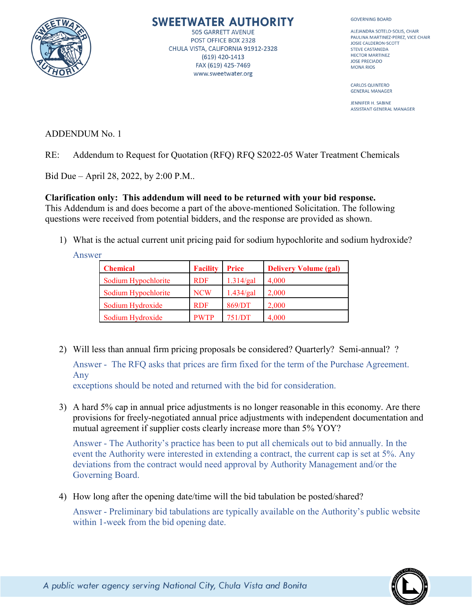

# SWEETWATER AUTHORITY

**505 GARRETT AVENUE** POST OFFICE BOX 2328 CHULA VISTA, CALIFORNIA 91912-2328 (619) 420-1413 FAX (619) 425-7469 www.sweetwater.org

**GOVERNING BOARD** 

ALEJANDRA SOTELO-SOLIS, CHAIR PAULINA MARTINEZ-PEREZ, VICE CHAIR JOSIE CALDERON-SCOTT STEVE CASTANEDA **HECTOR MARTINEZ JOSE PRECIADO MONA RIOS** 

**CARLOS QUINTERO GENERAL MANAGER** 

JENNIFER H. SABINE **ASSISTANT GENERAL MANAGER** 

ADDENDUM No. 1

RE: Addendum to Request for Quotation (RFQ) RFQ S2022-05 Water Treatment Chemicals

Bid Due – April 28, 2022, by 2:00 P.M..

### **Clarification only: This addendum will need to be returned with your bid response.**

This Addendum is and does become a part of the above-mentioned Solicitation. The following questions were received from potential bidders, and the response are provided as shown.

1) What is the actual current unit pricing paid for sodium hypochlorite and sodium hydroxide?

Answer

| <b>Chemical</b>     | <b>Facility</b> | <b>Price</b> | <b>Delivery Volume (gal)</b> |
|---------------------|-----------------|--------------|------------------------------|
| Sodium Hypochlorite | <b>RDF</b>      | 1.314/gal    | 4,000                        |
| Sodium Hypochlorite | <b>NCW</b>      | 1.434/gal    | 2,000                        |
| Sodium Hydroxide    | <b>RDF</b>      | 869/DT       | 2,000                        |
| Sodium Hydroxide    | <b>PWTP</b>     | 751/DT       | 4,000                        |

2) Will less than annual firm pricing proposals be considered? Quarterly? Semi-annual? ? Answer - The RFQ asks that prices are firm fixed for the term of the Purchase Agreement. Any

exceptions should be noted and returned with the bid for consideration.

3) A hard 5% cap in annual price adjustments is no longer reasonable in this economy. Are there provisions for freely-negotiated annual price adjustments with independent documentation and mutual agreement if supplier costs clearly increase more than 5% YOY?

Answer - The Authority's practice has been to put all chemicals out to bid annually. In the event the Authority were interested in extending a contract, the current cap is set at 5%. Any deviations from the contract would need approval by Authority Management and/or the Governing Board.

4) How long after the opening date/time will the bid tabulation be posted/shared?

Answer - Preliminary bid tabulations are typically available on the Authority's public website within 1-week from the bid opening date.

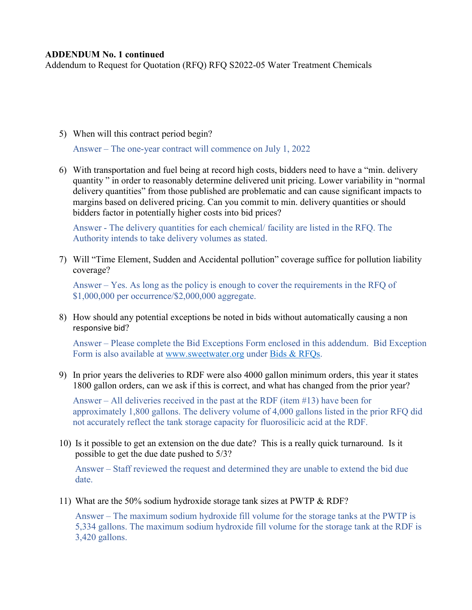#### **ADDENDUM No. 1 continued**

Addendum to Request for Quotation (RFQ) RFQ S2022-05 Water Treatment Chemicals

5) When will this contract period begin?

Answer – The one-year contract will commence on July 1, 2022

6) With transportation and fuel being at record high costs, bidders need to have a "min. delivery quantity " in order to reasonably determine delivered unit pricing. Lower variability in "normal delivery quantities" from those published are problematic and can cause significant impacts to margins based on delivered pricing. Can you commit to min. delivery quantities or should bidders factor in potentially higher costs into bid prices?

Answer - The delivery quantities for each chemical/ facility are listed in the RFQ. The Authority intends to take delivery volumes as stated.

7) Will "Time Element, Sudden and Accidental pollution" coverage suffice for pollution liability coverage?

Answer – Yes. As long as the policy is enough to cover the requirements in the RFQ of \$1,000,000 per occurrence/\$2,000,000 aggregate.

8) How should any potential exceptions be noted in bids without automatically causing a non responsive bid?

Answer – Please complete the Bid Exceptions Form enclosed in this addendum. Bid Exception Form is also available at [www.sweetwater.org](http://www.sweetwater.org/) under [Bids & RFQs.](https://www.sweetwater.org/429/Bids-RFQs)

9) In prior years the deliveries to RDF were also 4000 gallon minimum orders, this year it states 1800 gallon orders, can we ask if this is correct, and what has changed from the prior year?

Answer – All deliveries received in the past at the RDF (item #13) have been for approximately 1,800 gallons. The delivery volume of 4,000 gallons listed in the prior RFQ did not accurately reflect the tank storage capacity for fluorosilicic acid at the RDF.

10) Is it possible to get an extension on the due date? This is a really quick turnaround. Is it possible to get the due date pushed to 5/3?

Answer – Staff reviewed the request and determined they are unable to extend the bid due date.

11) What are the 50% sodium hydroxide storage tank sizes at PWTP & RDF?

Answer – The maximum sodium hydroxide fill volume for the storage tanks at the PWTP is 5,334 gallons. The maximum sodium hydroxide fill volume for the storage tank at the RDF is 3,420 gallons.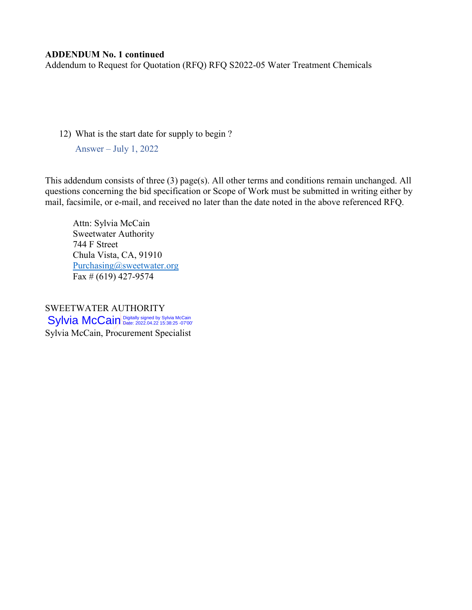#### **ADDENDUM No. 1 continued**

Addendum to Request for Quotation (RFQ) RFQ S2022-05 Water Treatment Chemicals

12) What is the start date for supply to begin ?

Answer – July 1, 2022

This addendum consists of three (3) page(s). All other terms and conditions remain unchanged. All questions concerning the bid specification or Scope of Work must be submitted in writing either by mail, facsimile, or e-mail, and received no later than the date noted in the above referenced RFQ.

Attn: Sylvia McCain Sweetwater Authority 744 F Street Chula Vista, CA, 91910 [Purchasing@sweetwater.org](mailto:Purchasing@sweetwater.org) Fax # (619) 427-9574

SWEETWATER AUTHORITY Sylvia McCain, Procurement Specialist Sylvia McCain Digitally signed by Sylvia McCain